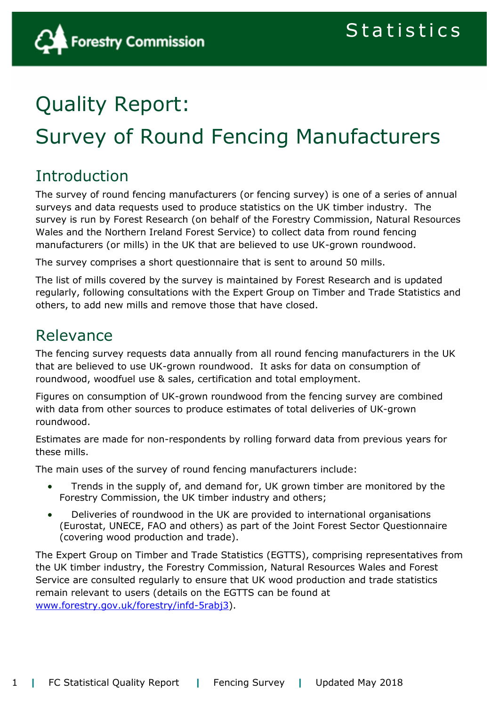# Quality Report: Survey of Round Fencing Manufacturers

# Introduction

The survey of round fencing manufacturers (or fencing survey) is one of a series of annual surveys and data requests used to produce statistics on the UK timber industry. The survey is run by Forest Research (on behalf of the Forestry Commission, Natural Resources Wales and the Northern Ireland Forest Service) to collect data from round fencing manufacturers (or mills) in the UK that are believed to use UK-grown roundwood.

The survey comprises a short questionnaire that is sent to around 50 mills.

The list of mills covered by the survey is maintained by Forest Research and is updated regularly, following consultations with the Expert Group on Timber and Trade Statistics and others, to add new mills and remove those that have closed.

# Relevance

The fencing survey requests data annually from all round fencing manufacturers in the UK that are believed to use UK-grown roundwood. It asks for data on consumption of roundwood, woodfuel use & sales, certification and total employment.

Figures on consumption of UK-grown roundwood from the fencing survey are combined with data from other sources to produce estimates of total deliveries of UK-grown roundwood.

Estimates are made for non-respondents by rolling forward data from previous years for these mills.

The main uses of the survey of round fencing manufacturers include:

- Trends in the supply of, and demand for, UK grown timber are monitored by the Forestry Commission, the UK timber industry and others;
- Deliveries of roundwood in the UK are provided to international organisations (Eurostat, UNECE, FAO and others) as part of the Joint Forest Sector Questionnaire (covering wood production and trade).

The Expert Group on Timber and Trade Statistics (EGTTS), comprising representatives from the UK timber industry, the Forestry Commission, Natural Resources Wales and Forest Service are consulted regularly to ensure that UK wood production and trade statistics remain relevant to users (details on the EGTTS can be found at [www.forestry.gov.uk/forestry/infd-5rabj3\)](http://www.forestry.gov.uk/forestry/infd-5rabj3).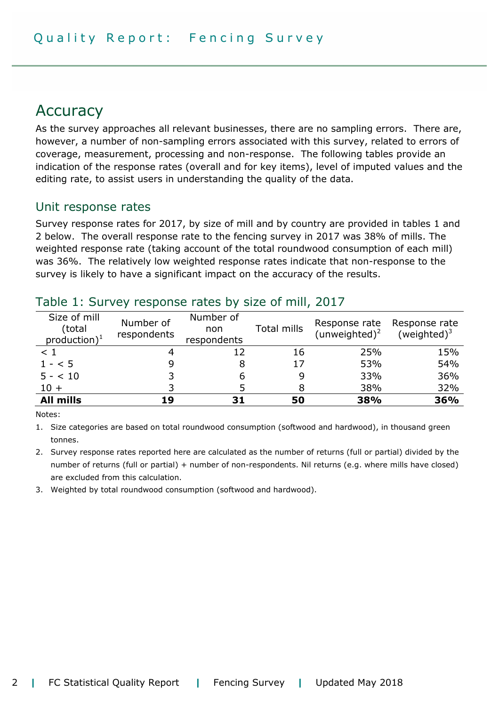# Accuracy

As the survey approaches all relevant businesses, there are no sampling errors. There are, however, a number of non-sampling errors associated with this survey, related to errors of coverage, measurement, processing and non-response. The following tables provide an indication of the response rates (overall and for key items), level of imputed values and the editing rate, to assist users in understanding the quality of the data.

### Unit response rates

Survey response rates for 2017, by size of mill and by country are provided in tables 1 and 2 below. The overall response rate to the fencing survey in 2017 was 38% of mills. The weighted response rate (taking account of the total roundwood consumption of each mill) was 36%. The relatively low weighted response rates indicate that non-response to the survey is likely to have a significant impact on the accuracy of the results.

| Size of mill<br>(total<br>$production)^1$ | Number of<br>respondents | Number of<br>non<br>respondents | Total mills | Response rate<br>(unweighted) <sup>2</sup> | Response rate<br>(weighted) $3$ |
|-------------------------------------------|--------------------------|---------------------------------|-------------|--------------------------------------------|---------------------------------|
| $\leq 1$                                  |                          | 12                              | 16          | 25%                                        | 15%                             |
| $1 - 5$                                   |                          | 8                               | 17          | 53%                                        | 54%                             |
| $5 - < 10$                                |                          | 6                               |             | 33%                                        | 36%                             |
| $10 +$                                    |                          |                                 |             | 38%                                        | 32%                             |
| <b>All mills</b>                          | 19                       | 31                              | 50          | 38%                                        | 36%                             |

### Table 1: Survey response rates by size of mill, 2017

Notes:

1. Size categories are based on total roundwood consumption (softwood and hardwood), in thousand green tonnes.

2. Survey response rates reported here are calculated as the number of returns (full or partial) divided by the number of returns (full or partial) + number of non-respondents. Nil returns (e.g. where mills have closed) are excluded from this calculation.

3. Weighted by total roundwood consumption (softwood and hardwood).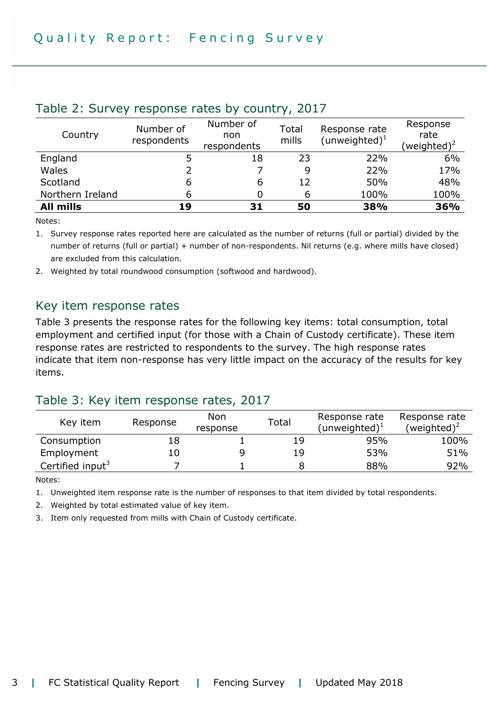| Country          | Number of<br>respondents | Number of<br>non<br>respondents | Total<br>mills | Response rate<br>(unweighted) $1$ | Response<br>rate<br>(weighted) <sup>2</sup> |
|------------------|--------------------------|---------------------------------|----------------|-----------------------------------|---------------------------------------------|
| England          |                          | 18                              | 23             | 22%                               | 6%                                          |
| Wales            |                          |                                 | 9              | 22%                               | 17%                                         |
| Scotland         | 6                        | 6                               | 12             | 50%                               | 48%                                         |
| Northern Ireland | 6                        |                                 |                | 100%                              | 100%                                        |
| <b>All mills</b> | 19                       | 31                              | 50             | 38%                               | 36%                                         |

#### Table 2: Survey response rates by country, 2017

Notes:

1. Survey response rates reported here are calculated as the number of returns (full or partial) divided by the number of returns (full or partial) + number of non-respondents. Nil returns (e.g. where mills have closed) are excluded from this calculation.

2. Weighted by total roundwood consumption (softwood and hardwood).

#### Key item response rates

Table 3 presents the response rates for the following key items: total consumption, total employment and certified input (for those with a Chain of Custody certificate). These item response rates are restricted to respondents to the survey. The high response rates indicate that item non-response has very little impact on the accuracy of the results for key items.

### Table 3: Key item response rates, 2017

| Key item                     | Response | Non<br>response | Total | Response rate<br>(unweighted) $1$ | Response rate<br>(weighted) <sup>2</sup> |
|------------------------------|----------|-----------------|-------|-----------------------------------|------------------------------------------|
| Consumption                  |          |                 | 19    | 95%                               | 100%                                     |
| Employment                   | LO       |                 | 19    | 53%                               | 51%                                      |
| Certified input <sup>3</sup> |          |                 |       | 88%                               | 92%                                      |

Notes:

1. Unweighted item response rate is the number of responses to that item divided by total respondents.

2. Weighted by total estimated value of key item.

3. Item only requested from mills with Chain of Custody certificate.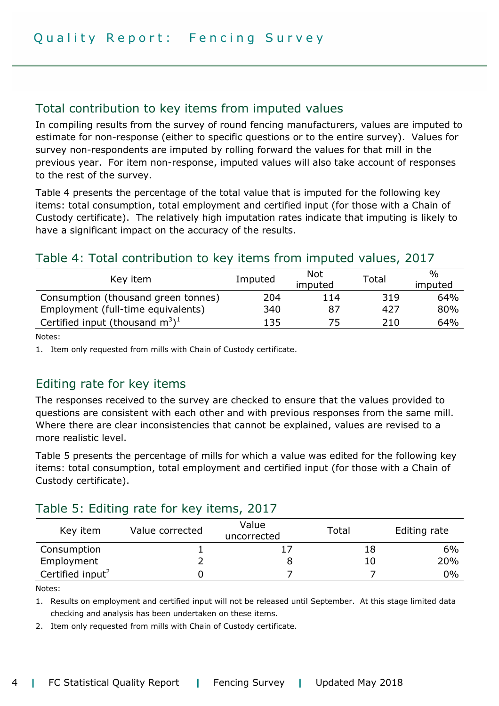### Total contribution to key items from imputed values

In compiling results from the survey of round fencing manufacturers, values are imputed to estimate for non-response (either to specific questions or to the entire survey). Values for survey non-respondents are imputed by rolling forward the values for that mill in the previous year. For item non-response, imputed values will also take account of responses to the rest of the survey.

Table 4 presents the percentage of the total value that is imputed for the following key items: total consumption, total employment and certified input (for those with a Chain of Custody certificate). The relatively high imputation rates indicate that imputing is likely to have a significant impact on the accuracy of the results.

### Table 4: Total contribution to key items from imputed values, 2017

| Key item                                       | Imputed | <b>Not</b><br>imputed | Total | %<br>imputed |
|------------------------------------------------|---------|-----------------------|-------|--------------|
| Consumption (thousand green tonnes)            | 204     | 114                   | 319   | 64%          |
| Employment (full-time equivalents)             | 340     | 87                    | 427   | 80%          |
| Certified input (thousand $m^3$ ) <sup>1</sup> | 135     | 75.                   | 210   | 64%          |

Notes:

1. Item only requested from mills with Chain of Custody certificate.

### Editing rate for key items

The responses received to the survey are checked to ensure that the values provided to questions are consistent with each other and with previous responses from the same mill. Where there are clear inconsistencies that cannot be explained, values are revised to a more realistic level.

Table 5 presents the percentage of mills for which a value was edited for the following key items: total consumption, total employment and certified input (for those with a Chain of Custody certificate).

### Table 5: Editing rate for key items, 2017

| Key item                     | Value corrected | Value<br>uncorrected | Total | Editing rate |
|------------------------------|-----------------|----------------------|-------|--------------|
| Consumption                  |                 |                      | 18    | 6%           |
| Employment                   |                 |                      | 10    | 20%          |
| Certified input <sup>2</sup> |                 |                      |       | $0\%$        |

Notes:

1. Results on employment and certified input will not be released until September. At this stage limited data checking and analysis has been undertaken on these items.

2. Item only requested from mills with Chain of Custody certificate.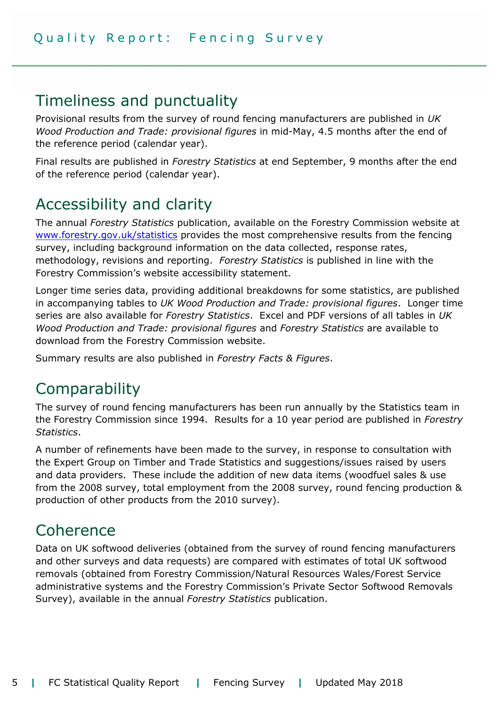### Timeliness and punctuality

Provisional results from the survey of round fencing manufacturers are published in *UK Wood Production and Trade: provisional figures* in mid-May, 4.5 months after the end of the reference period (calendar year).

Final results are published in *Forestry Statistics* at end September, 9 months after the end of the reference period (calendar year).

# Accessibility and clarity

The annual *Forestry Statistics* publication, available on the Forestry Commission website at [www.forestry.gov.uk/statistics](http://www.forestry.gov.uk/statistics) provides the most comprehensive results from the fencing survey, including background information on the data collected, response rates, methodology, revisions and reporting. *Forestry Statistics* is published in line with the Forestry Commission's website accessibility statement.

Longer time series data, providing additional breakdowns for some statistics, are published in accompanying tables to *UK Wood Production and Trade: provisional figures*. Longer time series are also available for *Forestry Statistics*. Excel and PDF versions of all tables in *UK Wood Production and Trade: provisional figures* and *Forestry Statistics* are available to download from the Forestry Commission website.

Summary results are also published in *Forestry Facts & Figures*.

# **Comparability**

The survey of round fencing manufacturers has been run annually by the Statistics team in the Forestry Commission since 1994. Results for a 10 year period are published in *Forestry Statistics*.

A number of refinements have been made to the survey, in response to consultation with the Expert Group on Timber and Trade Statistics and suggestions/issues raised by users and data providers. These include the addition of new data items (woodfuel sales & use from the 2008 survey, total employment from the 2008 survey, round fencing production & production of other products from the 2010 survey).

# Coherence

Data on UK softwood deliveries (obtained from the survey of round fencing manufacturers and other surveys and data requests) are compared with estimates of total UK softwood removals (obtained from Forestry Commission/Natural Resources Wales/Forest Service administrative systems and the Forestry Commission's Private Sector Softwood Removals Survey), available in the annual *Forestry Statistics* publication.